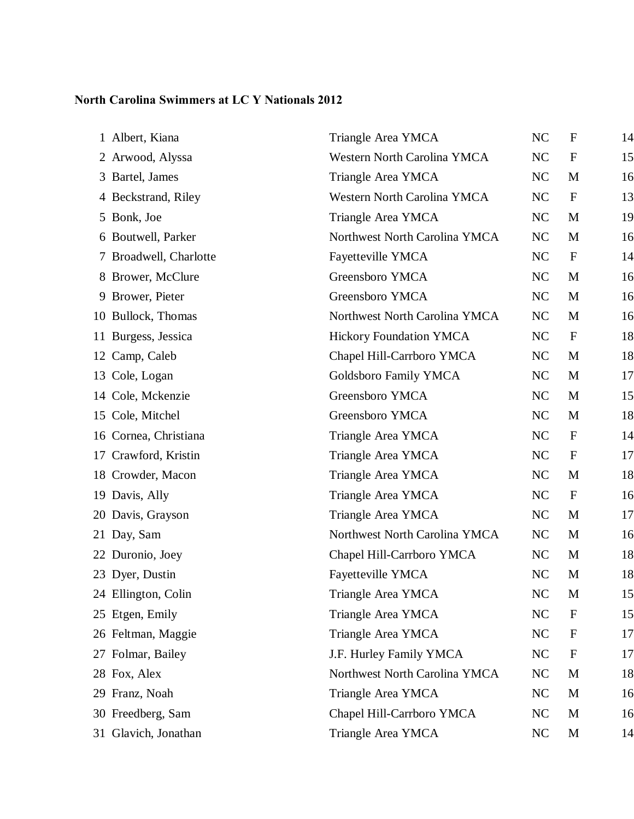## **North Carolina Swimmers at LC Y Nationals 2012**

| 1 Albert, Kiana        | Triangle Area YMCA                 | NC             | $\mathbf F$      | 14 |
|------------------------|------------------------------------|----------------|------------------|----|
| 2 Arwood, Alyssa       | <b>Western North Carolina YMCA</b> | NC             | $\boldsymbol{F}$ | 15 |
| 3 Bartel, James        | Triangle Area YMCA                 | NC             | M                | 16 |
| 4 Beckstrand, Riley    | Western North Carolina YMCA        | NC             | $\mathbf{F}$     | 13 |
| 5 Bonk, Joe            | Triangle Area YMCA                 | NC             | M                | 19 |
| 6 Boutwell, Parker     | Northwest North Carolina YMCA      | NC             | M                | 16 |
| 7 Broadwell, Charlotte | Fayetteville YMCA                  | NC             | $\mathbf F$      | 14 |
| 8 Brower, McClure      | Greensboro YMCA                    | NC             | M                | 16 |
| 9 Brower, Pieter       | Greensboro YMCA                    | NC             | M                | 16 |
| 10 Bullock, Thomas     | Northwest North Carolina YMCA      | NC             | M                | 16 |
| 11 Burgess, Jessica    | <b>Hickory Foundation YMCA</b>     | NC             | $\mathbf F$      | 18 |
| 12 Camp, Caleb         | Chapel Hill-Carrboro YMCA          | NC             | M                | 18 |
| 13 Cole, Logan         | Goldsboro Family YMCA              | NC             | M                | 17 |
| 14 Cole, Mckenzie      | Greensboro YMCA                    | NC             | M                | 15 |
| 15 Cole, Mitchel       | Greensboro YMCA                    | NC             | M                | 18 |
| 16 Cornea, Christiana  | Triangle Area YMCA                 | NC             | $\mathbf F$      | 14 |
| 17 Crawford, Kristin   | Triangle Area YMCA                 | NC             | ${\bf F}$        | 17 |
| 18 Crowder, Macon      | Triangle Area YMCA                 | NC             | M                | 18 |
| 19 Davis, Ally         | Triangle Area YMCA                 | NC             | $\mathbf F$      | 16 |
| 20 Davis, Grayson      | Triangle Area YMCA                 | NC             | M                | 17 |
| 21 Day, Sam            | Northwest North Carolina YMCA      | NC             | M                | 16 |
| 22 Duronio, Joey       | Chapel Hill-Carrboro YMCA          | NC             | M                | 18 |
| 23 Dyer, Dustin        | Fayetteville YMCA                  | N <sub>C</sub> | M                | 18 |
| 24 Ellington, Colin    | Triangle Area YMCA                 | NC             | M                | 15 |
| 25 Etgen, Emily        | Triangle Area YMCA                 | NC             | $\mathbf F$      | 15 |
| 26 Feltman, Maggie     | Triangle Area YMCA                 | NC             | $\mathbf F$      | 17 |
| 27 Folmar, Bailey      | J.F. Hurley Family YMCA            | NC             | $\mathbf F$      | 17 |
| 28 Fox, Alex           | Northwest North Carolina YMCA      | NC             | M                | 18 |
| 29 Franz, Noah         | Triangle Area YMCA                 | NC             | M                | 16 |
| 30 Freedberg, Sam      | Chapel Hill-Carrboro YMCA          | NC             | M                | 16 |
| 31 Glavich, Jonathan   | Triangle Area YMCA                 | NC             | M                | 14 |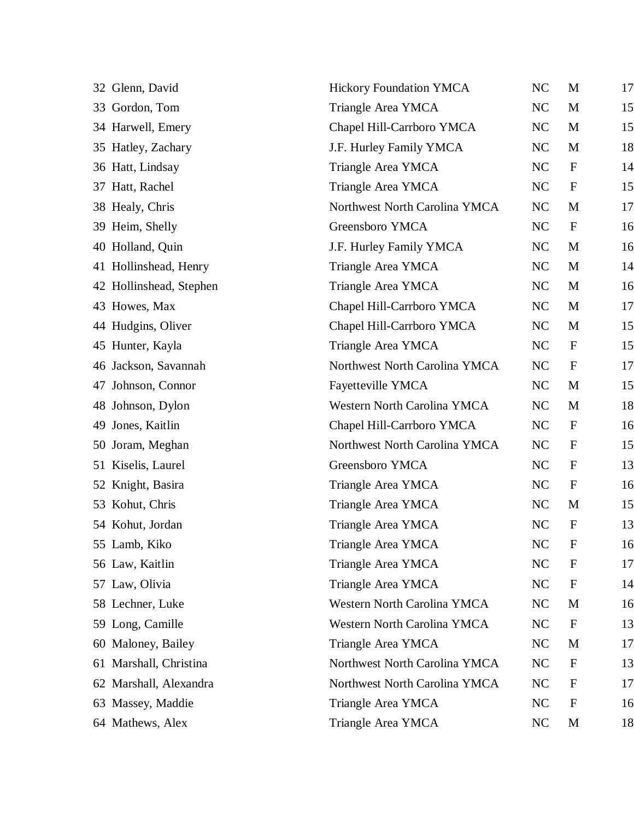| 32 Glenn, David         | <b>Hickory Foundation YMCA</b> | NC        | M            | 17 |
|-------------------------|--------------------------------|-----------|--------------|----|
| 33 Gordon, Tom          | Triangle Area YMCA             | <b>NC</b> | M            | 15 |
| 34 Harwell, Emery       | Chapel Hill-Carrboro YMCA      | NC        | M            | 15 |
| 35 Hatley, Zachary      | J.F. Hurley Family YMCA        | NC        | M            | 18 |
| 36 Hatt, Lindsay        | Triangle Area YMCA             | <b>NC</b> | $\mathbf F$  | 14 |
| 37 Hatt, Rachel         | Triangle Area YMCA             | NC        | $\mathbf F$  | 15 |
| 38 Healy, Chris         | Northwest North Carolina YMCA  | NC        | M            | 17 |
| 39 Heim, Shelly         | Greensboro YMCA                | <b>NC</b> | $\mathbf F$  | 16 |
| 40 Holland, Quin        | J.F. Hurley Family YMCA        | NC        | M            | 16 |
| 41 Hollinshead, Henry   | Triangle Area YMCA             | NC        | M            | 14 |
| 42 Hollinshead, Stephen | Triangle Area YMCA             | NC        | M            | 16 |
| 43 Howes, Max           | Chapel Hill-Carrboro YMCA      | NC        | M            | 17 |
| 44 Hudgins, Oliver      | Chapel Hill-Carrboro YMCA      | NC        | M            | 15 |
| 45 Hunter, Kayla        | Triangle Area YMCA             | NC        | $\mathbf F$  | 15 |
| 46 Jackson, Savannah    | Northwest North Carolina YMCA  | NC        | $\mathbf F$  | 17 |
| 47 Johnson, Connor      | Fayetteville YMCA              | NC        | M            | 15 |
| 48 Johnson, Dylon       | Western North Carolina YMCA    | NC        | M            | 18 |
| 49 Jones, Kaitlin       | Chapel Hill-Carrboro YMCA      | NC        | $\mathbf F$  | 16 |
| 50 Joram, Meghan        | Northwest North Carolina YMCA  | NC        | $\mathbf F$  | 15 |
| 51 Kiselis, Laurel      | Greensboro YMCA                | NC        | $\mathbf F$  | 13 |
| 52 Knight, Basira       | Triangle Area YMCA             | NC        | $\mathbf F$  | 16 |
| 53 Kohut, Chris         | Triangle Area YMCA             | <b>NC</b> | M            | 15 |
| 54 Kohut, Jordan        | Triangle Area YMCA             | <b>NC</b> | $\mathbf{F}$ | 13 |
| 55 Lamb, Kiko           | Triangle Area YMCA             | NC        | $\mathbf F$  | 16 |
| 56 Law, Kaitlin         | Triangle Area YMCA             | NC        | $\mathbf{F}$ | 17 |
| 57 Law, Olivia          | Triangle Area YMCA             | NC        | $\mathbf F$  | 14 |
| 58 Lechner, Luke        | Western North Carolina YMCA    | <b>NC</b> | M            | 16 |
| 59 Long, Camille        | Western North Carolina YMCA    | <b>NC</b> | $\mathbf F$  | 13 |
| 60 Maloney, Bailey      | Triangle Area YMCA             | NC        | M            | 17 |
| 61 Marshall, Christina  | Northwest North Carolina YMCA  | <b>NC</b> | $\mathbf F$  | 13 |
| 62 Marshall, Alexandra  | Northwest North Carolina YMCA  | NC        | $\mathbf F$  | 17 |
| 63 Massey, Maddie       | Triangle Area YMCA             | <b>NC</b> | $\mathbf F$  | 16 |
| 64 Mathews, Alex        | Triangle Area YMCA             | NC        | M            | 18 |
|                         |                                |           |              |    |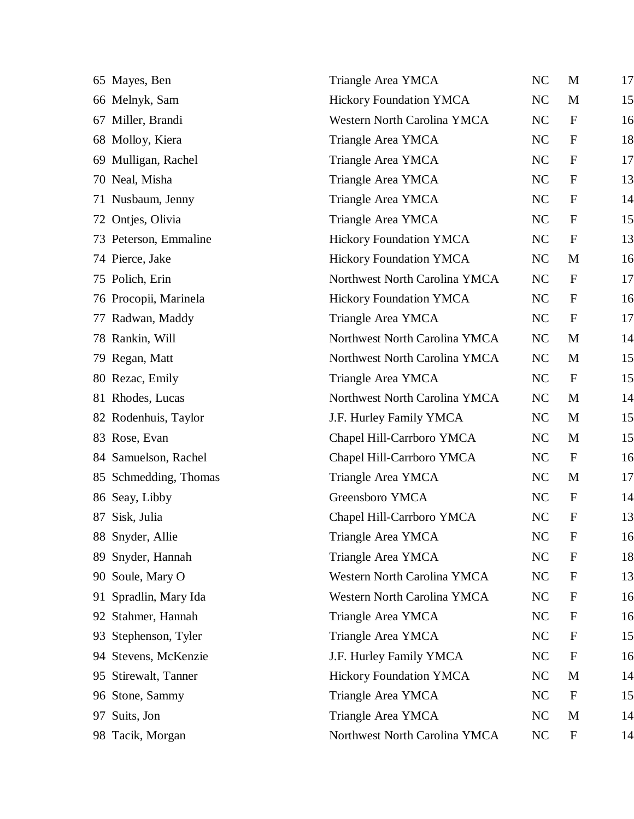| 65 Mayes, Ben            | Triangle Area YMCA             | NC        | M            | 17 |
|--------------------------|--------------------------------|-----------|--------------|----|
| 66 Melnyk, Sam           | <b>Hickory Foundation YMCA</b> | NC        | M            | 15 |
| 67 Miller, Brandi        | Western North Carolina YMCA    | NC        | $\mathbf F$  | 16 |
| 68 Molloy, Kiera         | Triangle Area YMCA             | NC        | $\mathbf F$  | 18 |
| 69 Mulligan, Rachel      | Triangle Area YMCA             | NC        | $\mathbf{F}$ | 17 |
| 70 Neal, Misha           | Triangle Area YMCA             | NC        | $\mathbf F$  | 13 |
| 71 Nusbaum, Jenny        | Triangle Area YMCA             | NC        | $\mathbf F$  | 14 |
| 72 Ontjes, Olivia        | Triangle Area YMCA             | NC        | $\mathbf F$  | 15 |
| 73 Peterson, Emmaline    | <b>Hickory Foundation YMCA</b> | NC        | $\mathbf F$  | 13 |
| 74 Pierce, Jake          | <b>Hickory Foundation YMCA</b> | NC        | M            | 16 |
| 75 Polich, Erin          | Northwest North Carolina YMCA  | NC        | $\mathbf F$  | 17 |
| 76 Procopii, Marinela    | <b>Hickory Foundation YMCA</b> | NC        | $\mathbf F$  | 16 |
| 77 Radwan, Maddy         | Triangle Area YMCA             | NC        | $\mathbf F$  | 17 |
| 78 Rankin, Will          | Northwest North Carolina YMCA  | NC        | M            | 14 |
| 79 Regan, Matt           | Northwest North Carolina YMCA  | NC        | M            | 15 |
| 80 Rezac, Emily          | Triangle Area YMCA             | NC        | $\mathbf F$  | 15 |
| 81 Rhodes, Lucas         | Northwest North Carolina YMCA  | NC        | M            | 14 |
| 82 Rodenhuis, Taylor     | J.F. Hurley Family YMCA        | <b>NC</b> | M            | 15 |
| 83 Rose, Evan            | Chapel Hill-Carrboro YMCA      | NC        | M            | 15 |
| 84 Samuelson, Rachel     | Chapel Hill-Carrboro YMCA      | NC        | $\mathbf F$  | 16 |
| 85 Schmedding, Thomas    | Triangle Area YMCA             | NC        | M            | 17 |
| 86 Seay, Libby           | Greensboro YMCA                | NC        | $\mathbf{F}$ | 14 |
| 87 Sisk, Julia           | Chapel Hill-Carrboro YMCA      | NC        | $\mathbf{F}$ | 13 |
| 88 Snyder, Allie         | Triangle Area YMCA             | NC        | $\mathbf F$  | 16 |
| 89 Snyder, Hannah        | Triangle Area YMCA             | NC        | $\mathbf{F}$ | 18 |
| 90 Soule, Mary O         | Western North Carolina YMCA    | NC        | $\mathbf{F}$ | 13 |
| 91 Spradlin, Mary Ida    | Western North Carolina YMCA    | <b>NC</b> | $\mathbf F$  | 16 |
| 92 Stahmer, Hannah       | Triangle Area YMCA             | NC        | $\mathbf F$  | 16 |
| Stephenson, Tyler<br>93. | Triangle Area YMCA             | <b>NC</b> | $\mathbf F$  | 15 |
| 94 Stevens, McKenzie     | J.F. Hurley Family YMCA        | NC        | $\mathbf F$  | 16 |
| 95 Stirewalt, Tanner     | <b>Hickory Foundation YMCA</b> | NC        | M            | 14 |
| 96 Stone, Sammy          | Triangle Area YMCA             | NC        | $\mathbf F$  | 15 |
| 97 Suits, Jon            | Triangle Area YMCA             | NC        | M            | 14 |
| 98 Tacik, Morgan         | Northwest North Carolina YMCA  | NC        | $\mathbf F$  | 14 |